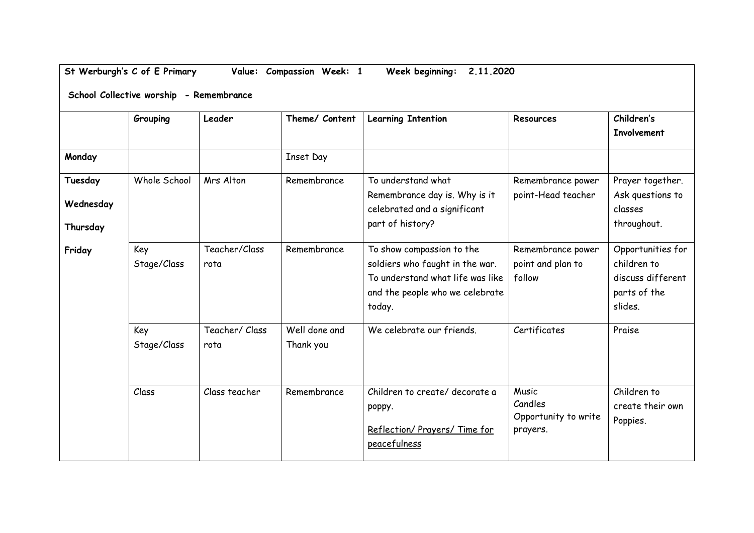## **St Werburgh's C of E Primary Value: Compassion Week: 1 Week beginning: 2.11.2020**

**School Collective worship - Remembrance**

|                                  | Grouping           | Leader                | Theme/ Content             | <b>Learning Intention</b>                                                                                                                     | Resources                                            | Children's<br><b>Involvement</b>                                                 |
|----------------------------------|--------------------|-----------------------|----------------------------|-----------------------------------------------------------------------------------------------------------------------------------------------|------------------------------------------------------|----------------------------------------------------------------------------------|
| Monday                           |                    |                       | <b>Inset Day</b>           |                                                                                                                                               |                                                      |                                                                                  |
| Tuesday<br>Wednesday<br>Thursday | Whole School       | Mrs Alton             | Remembrance                | To understand what<br>Remembrance day is. Why is it<br>celebrated and a significant<br>part of history?                                       | Remembrance power<br>point-Head teacher              | Prayer together.<br>Ask questions to<br>classes<br>throughout.                   |
| Friday                           | Key<br>Stage/Class | Teacher/Class<br>rota | Remembrance                | To show compassion to the<br>soldiers who faught in the war.<br>To understand what life was like<br>and the people who we celebrate<br>today. | Remembrance power<br>point and plan to<br>follow     | Opportunities for<br>children to<br>discuss different<br>parts of the<br>slides. |
|                                  | Key<br>Stage/Class | Teacher/Class<br>rota | Well done and<br>Thank you | We celebrate our friends.                                                                                                                     | Certificates                                         | Praise                                                                           |
|                                  | Class              | Class teacher         | Remembrance                | Children to create/ decorate a<br>poppy.<br>Reflection/ Prayers/ Time for<br>peacefulness                                                     | Music<br>Candles<br>Opportunity to write<br>prayers. | Children to<br>create their own<br>Poppies.                                      |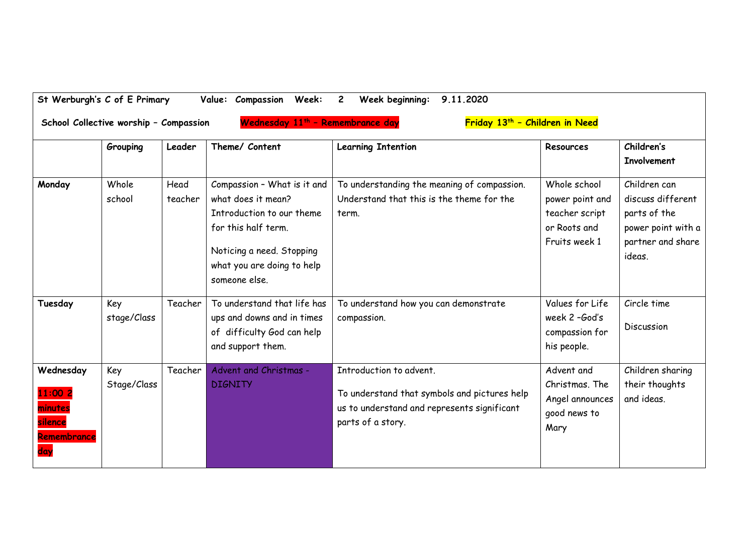| St Werburgh's C of E Primary                                     | School Collective worship - Compassion |                 | Value: Compassion<br>Week:<br>Wednesday 11 <sup>th</sup> - Remembrance day                                                                                                        | Week beginning:<br>9.11.2020<br>Friday 13 <sup>th</sup> - Children in Need                                                                  |                                                                                    |                                                                                                        |
|------------------------------------------------------------------|----------------------------------------|-----------------|-----------------------------------------------------------------------------------------------------------------------------------------------------------------------------------|---------------------------------------------------------------------------------------------------------------------------------------------|------------------------------------------------------------------------------------|--------------------------------------------------------------------------------------------------------|
|                                                                  | Grouping                               | Leader          | Theme/ Content                                                                                                                                                                    | <b>Learning Intention</b>                                                                                                                   | Resources                                                                          | Children's<br><b>Involvement</b>                                                                       |
| Monday                                                           | Whole<br>school                        | Head<br>teacher | Compassion - What is it and<br>what does it mean?<br>Introduction to our theme<br>for this half term.<br>Noticing a need. Stopping<br>what you are doing to help<br>someone else. | To understanding the meaning of compassion.<br>Understand that this is the theme for the<br>term.                                           | Whole school<br>power point and<br>teacher script<br>or Roots and<br>Fruits week 1 | Children can<br>discuss different<br>parts of the<br>power point with a<br>partner and share<br>ideas. |
| Tuesday                                                          | Key<br>stage/Class                     | Teacher         | To understand that life has<br>ups and downs and in times<br>of difficulty God can help<br>and support them.                                                                      | To understand how you can demonstrate<br>compassion.                                                                                        | Values for Life<br>week 2-God's<br>compassion for<br>his people.                   | Circle time<br>Discussion                                                                              |
| Wednesday<br>11:00 2<br>minutes<br>silence<br>Remembrance<br>day | Key<br>Stage/Class                     | Teacher         | Advent and Christmas -<br><b>DIGNITY</b>                                                                                                                                          | Introduction to advent.<br>To understand that symbols and pictures help<br>us to understand and represents significant<br>parts of a story. | Advent and<br>Christmas. The<br>Angel announces<br>good news to<br>Mary            | Children sharing<br>their thoughts<br>and ideas.                                                       |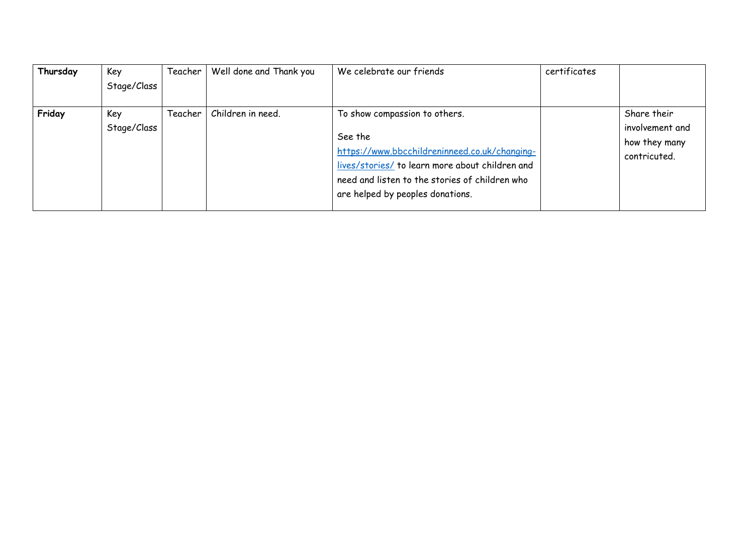| Thursday | Key<br>Stage/Class | Teacher | Well done and Thank you | We celebrate our friends                                                                                                                                                                                                           | certificates |                                                                 |
|----------|--------------------|---------|-------------------------|------------------------------------------------------------------------------------------------------------------------------------------------------------------------------------------------------------------------------------|--------------|-----------------------------------------------------------------|
| Friday   | Key<br>Stage/Class | Teacher | Children in need.       | To show compassion to others.<br>See the<br>https://www.bbcchildreninneed.co.uk/changing-<br>lives/stories/ to learn more about children and<br>need and listen to the stories of children who<br>are helped by peoples donations. |              | Share their<br>involvement and<br>how they many<br>contricuted. |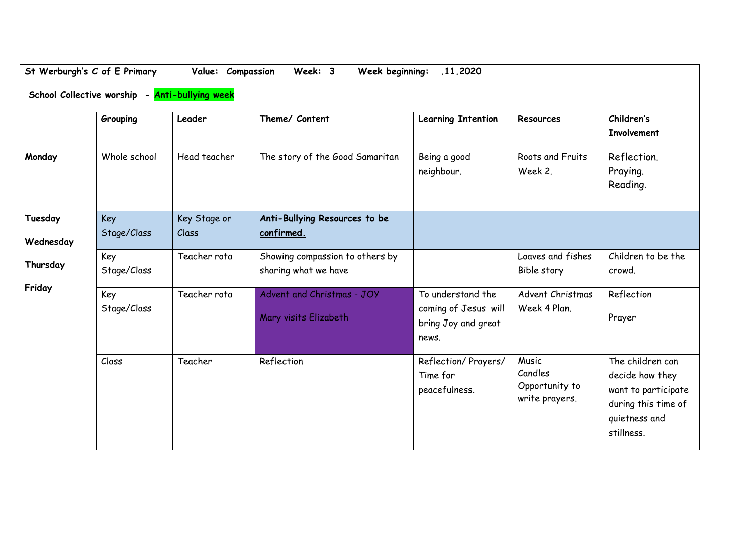|                      | St Werburgh's C of E Primary<br>School Collective worship - Anti-bullying week | Value: Compassion     | Week: 3<br>Week beginning:                              | .11.2020                                                                  |                                                      |                                                                                                                  |
|----------------------|--------------------------------------------------------------------------------|-----------------------|---------------------------------------------------------|---------------------------------------------------------------------------|------------------------------------------------------|------------------------------------------------------------------------------------------------------------------|
|                      | Grouping                                                                       | Leader                | Theme/ Content                                          | <b>Learning Intention</b>                                                 | Resources                                            | Children's<br><b>Involvement</b>                                                                                 |
| Monday               | Whole school                                                                   | Head teacher          | The story of the Good Samaritan                         | Being a good<br>neighbour.                                                | Roots and Fruits<br>Week 2.                          | Reflection.<br>Praying.<br>Reading.                                                                              |
| Tuesday<br>Wednesday | Key<br>Stage/Class                                                             | Key Stage or<br>Class | Anti-Bullying Resources to be<br>confirmed.             |                                                                           |                                                      |                                                                                                                  |
| Thursday             | Key<br>Stage/Class                                                             | Teacher rota          | Showing compassion to others by<br>sharing what we have |                                                                           | Loaves and fishes<br>Bible story                     | Children to be the<br>crowd.                                                                                     |
| Friday               | Key<br>Stage/Class                                                             | Teacher rota          | Advent and Christmas - JOY<br>Mary visits Elizabeth     | To understand the<br>coming of Jesus will<br>bring Joy and great<br>news. | Advent Christmas<br>Week 4 Plan.                     | Reflection<br>Prayer                                                                                             |
|                      | Class                                                                          | Teacher               | Reflection                                              | Reflection/ Prayers/<br>Time for<br>peacefulness.                         | Music<br>Candles<br>Opportunity to<br>write prayers. | The children can<br>decide how they<br>want to participate<br>during this time of<br>quietness and<br>stillness. |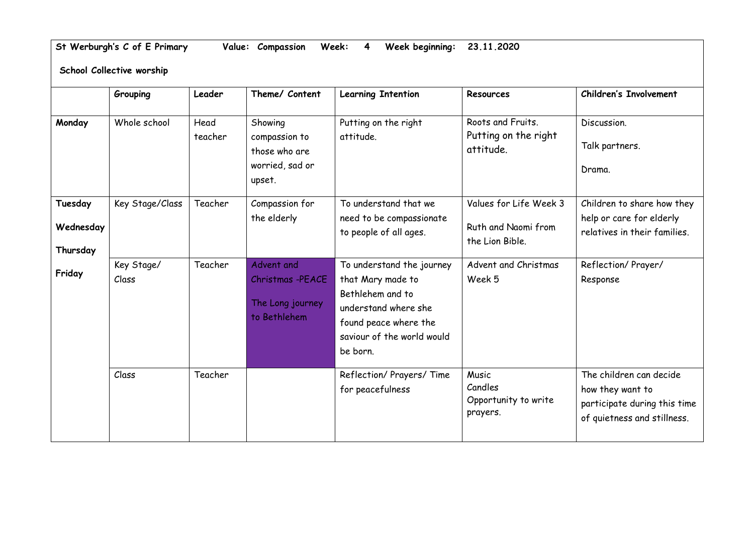**St Werburgh's C of E Primary Value: Compassion Week: 4 Week beginning: 23.11.2020**

**School Collective worship** 

|           | Grouping            | Leader          | Theme/ Content                                                         | <b>Learning Intention</b>                                                                                                                                     | Resources                                              | <b>Children's Involvement</b>                                                                              |
|-----------|---------------------|-----------------|------------------------------------------------------------------------|---------------------------------------------------------------------------------------------------------------------------------------------------------------|--------------------------------------------------------|------------------------------------------------------------------------------------------------------------|
| Monday    | Whole school        | Head<br>teacher | Showing<br>compassion to<br>those who are<br>worried, sad or<br>upset. | Putting on the right<br>attitude.                                                                                                                             | Roots and Fruits.<br>Putting on the right<br>attitude. | Discussion.<br>Talk partners.<br>Drama.                                                                    |
| Tuesday   | Key Stage/Class     | Teacher         | Compassion for<br>the elderly                                          | To understand that we<br>need to be compassionate                                                                                                             | Values for Life Week 3                                 | Children to share how they<br>help or care for elderly                                                     |
| Wednesday |                     |                 |                                                                        | to people of all ages.                                                                                                                                        | Ruth and Naomi from<br>the Lion Bible.                 | relatives in their families.                                                                               |
| Thursday  |                     |                 |                                                                        |                                                                                                                                                               |                                                        |                                                                                                            |
| Friday    | Key Stage/<br>Class | Teacher         | Advent and<br>Christmas -PEACE<br>The Long journey<br>to Bethlehem     | To understand the journey<br>that Mary made to<br>Bethlehem and to<br>understand where she<br>found peace where the<br>saviour of the world would<br>be born. | Advent and Christmas<br>Week 5                         | Reflection/Prayer/<br>Response                                                                             |
|           | Class               | Teacher         |                                                                        | Reflection/ Prayers/ Time<br>for peacefulness                                                                                                                 | Music<br>Candles<br>Opportunity to write<br>prayers.   | The children can decide<br>how they want to<br>participate during this time<br>of quietness and stillness. |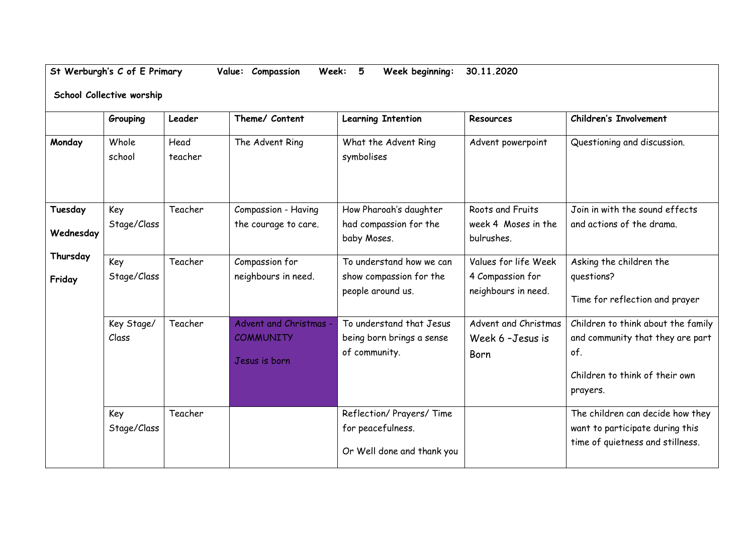**St Werburgh's C of E Primary Value: Compassion Week: 5 Week beginning: 30.11.2020**

**School Collective worship** 

|           | Grouping        | Leader          | Theme/ Content         | <b>Learning Intention</b>             | Resources                         | <b>Children's Involvement</b>      |
|-----------|-----------------|-----------------|------------------------|---------------------------------------|-----------------------------------|------------------------------------|
| Monday    | Whole<br>school | Head<br>teacher | The Advent Ring        | What the Advent Ring<br>symbolises    | Advent powerpoint                 | Questioning and discussion.        |
| Tuesday   | Key             | Teacher         | Compassion - Having    | How Pharoah's daughter                | Roots and Fruits                  | Join in with the sound effects     |
| Wednesday | Stage/Class     |                 | the courage to care.   | had compassion for the<br>baby Moses. | week 4 Moses in the<br>bulrushes. | and actions of the drama.          |
| Thursday  | Key             | Teacher         | Compassion for         | To understand how we can              | Values for life Week              | Asking the children the            |
| Friday    | Stage/Class     |                 | neighbours in need.    | show compassion for the               | 4 Compassion for                  | questions?                         |
|           |                 |                 |                        | people around us.                     | neighbours in need.               | Time for reflection and prayer     |
|           | Key Stage/      | Teacher         | Advent and Christmas - | To understand that Jesus              | Advent and Christmas              | Children to think about the family |
|           | Class           |                 | <b>COMMUNITY</b>       | being born brings a sense             | Week 6 - Jesus is                 | and community that they are part   |
|           |                 |                 | Jesus is born          | of community.                         | Born                              | of.                                |
|           |                 |                 |                        |                                       |                                   | Children to think of their own     |
|           |                 |                 |                        |                                       |                                   | prayers.                           |
|           | Key             | Teacher         |                        | Reflection/ Prayers/ Time             |                                   | The children can decide how they   |
|           | Stage/Class     |                 |                        | for peacefulness.                     |                                   | want to participate during this    |
|           |                 |                 |                        | Or Well done and thank you            |                                   | time of quietness and stillness.   |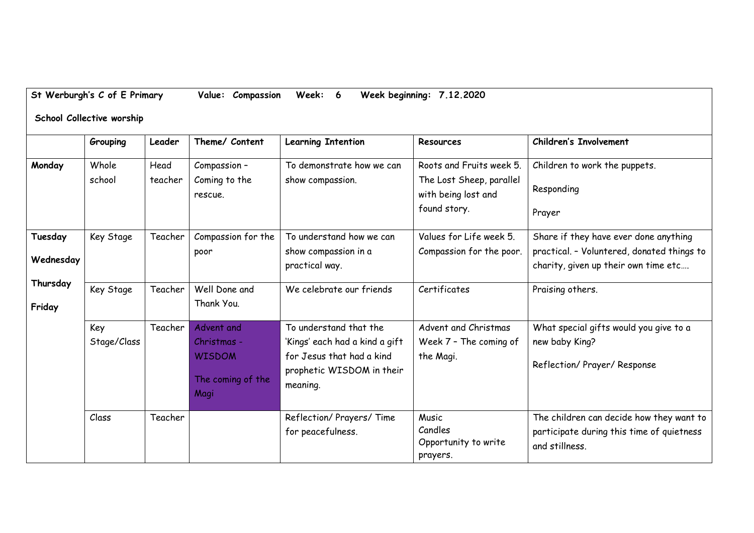|  | St Werburgh's C of E Primary |  | Value: Compassion Week: 6 |  |  | Week beginning: 7.12.2020 |  |
|--|------------------------------|--|---------------------------|--|--|---------------------------|--|
|--|------------------------------|--|---------------------------|--|--|---------------------------|--|

## **School Collective worship**

|                      | Grouping           | Leader          | Theme/ Content                                                          | <b>Learning Intention</b>                                                                                                      | <b>Resources</b>                                                                            | <b>Children's Involvement</b>                                                                                               |
|----------------------|--------------------|-----------------|-------------------------------------------------------------------------|--------------------------------------------------------------------------------------------------------------------------------|---------------------------------------------------------------------------------------------|-----------------------------------------------------------------------------------------------------------------------------|
| Monday               | Whole<br>school    | Head<br>teacher | Compassion -<br>Coming to the<br>rescue.                                | To demonstrate how we can<br>show compassion.                                                                                  | Roots and Fruits week 5.<br>The Lost Sheep, parallel<br>with being lost and<br>found story. | Children to work the puppets.<br>Responding<br>Prayer                                                                       |
| Tuesday<br>Wednesday | Key Stage          | Teacher         | Compassion for the<br>poor                                              | To understand how we can<br>show compassion in a<br>practical way.                                                             | Values for Life week 5.<br>Compassion for the poor.                                         | Share if they have ever done anything<br>practical. - Voluntered, donated things to<br>charity, given up their own time etc |
| Thursday<br>Friday   | Key Stage          | Teacher         | Well Done and<br>Thank You.                                             | We celebrate our friends                                                                                                       | Certificates                                                                                | Praising others.                                                                                                            |
|                      | Key<br>Stage/Class | Teacher         | Advent and<br>Christmas -<br><b>WISDOM</b><br>The coming of the<br>Magi | To understand that the<br>'Kings' each had a kind a gift<br>for Jesus that had a kind<br>prophetic WISDOM in their<br>meaning. | Advent and Christmas<br>Week 7 - The coming of<br>the Magi.                                 | What special gifts would you give to a<br>new baby King?<br>Reflection/ Prayer/ Response                                    |
|                      | Class              | Teacher         |                                                                         | Reflection/ Prayers/ Time<br>for peacefulness.                                                                                 | Music<br>Candles<br>Opportunity to write<br>prayers.                                        | The children can decide how they want to<br>participate during this time of quietness<br>and stillness.                     |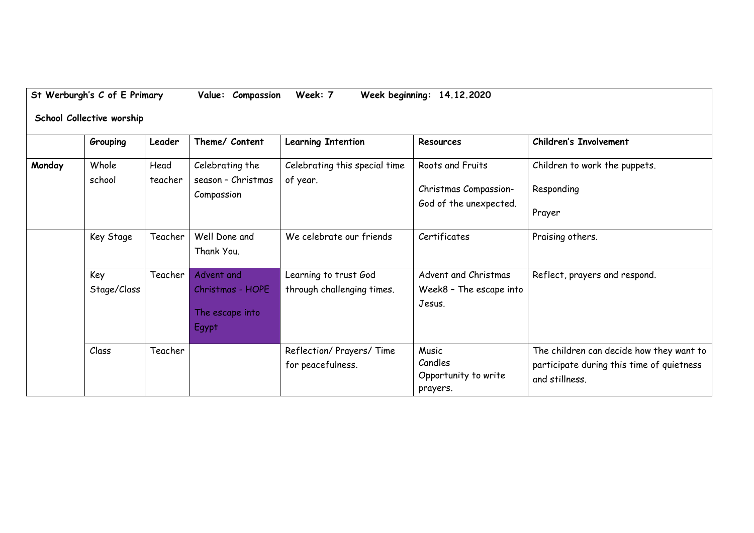|        | Grouping           | Leader          | Theme/ Content                                             | <b>Learning Intention</b>                           | Resources                                                 | <b>Children's Involvement</b>                                                                           |
|--------|--------------------|-----------------|------------------------------------------------------------|-----------------------------------------------------|-----------------------------------------------------------|---------------------------------------------------------------------------------------------------------|
| Monday | Whole<br>school    | Head<br>teacher | Celebrating the<br>season - Christmas                      | Celebrating this special time<br>of year.           | Roots and Fruits                                          | Children to work the puppets.                                                                           |
|        |                    |                 | Compassion                                                 |                                                     | Christmas Compassion-                                     | Responding                                                                                              |
|        |                    |                 |                                                            |                                                     | God of the unexpected.                                    | Prayer                                                                                                  |
|        | Key Stage          | Teacher         | Well Done and<br>Thank You.                                | We celebrate our friends                            | Certificates                                              | Praising others.                                                                                        |
|        | Key<br>Stage/Class | Teacher         | Advent and<br>Christmas - HOPE<br>The escape into<br>Egypt | Learning to trust God<br>through challenging times. | Advent and Christmas<br>Week8 - The escape into<br>Jesus. | Reflect, prayers and respond.                                                                           |
|        | Class              | Teacher         |                                                            | Reflection/ Prayers/ Time<br>for peacefulness.      | Music<br>Candles<br>Opportunity to write<br>prayers.      | The children can decide how they want to<br>participate during this time of quietness<br>and stillness. |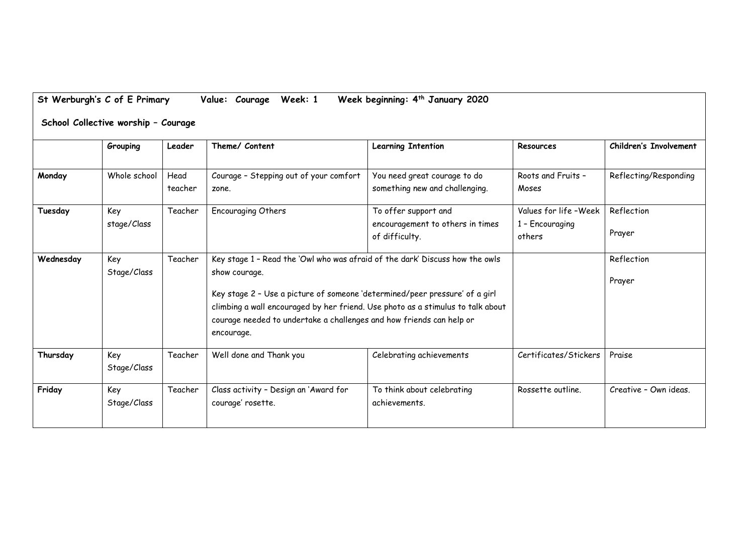|           | Grouping           | Leader          | Theme/ Content                                                                                                                                                                                                                                                                                                                                        | <b>Learning Intention</b>                                                  | Resources                                          | <b>Children's Involvement</b> |
|-----------|--------------------|-----------------|-------------------------------------------------------------------------------------------------------------------------------------------------------------------------------------------------------------------------------------------------------------------------------------------------------------------------------------------------------|----------------------------------------------------------------------------|----------------------------------------------------|-------------------------------|
| Monday    | Whole school       | Head<br>teacher | Courage - Stepping out of your comfort<br>zone.                                                                                                                                                                                                                                                                                                       | You need great courage to do<br>something new and challenging.             | Roots and Fruits -<br>Moses                        | Reflecting/Responding         |
| Tuesday   | Key<br>stage/Class | Teacher         | <b>Encouraging Others</b>                                                                                                                                                                                                                                                                                                                             | To offer support and<br>encouragement to others in times<br>of difficulty. | Values for life -Week<br>1 - Encouraging<br>others | Reflection<br>Prayer          |
| Wednesday | Key<br>Stage/Class | Teacher         | Key stage 1 - Read the 'Owl who was afraid of the dark' Discuss how the owls<br>show courage.<br>Key stage 2 - Use a picture of someone 'determined/peer pressure' of a girl<br>climbing a wall encouraged by her friend. Use photo as a stimulus to talk about<br>courage needed to undertake a challenges and how friends can help or<br>encourage. |                                                                            |                                                    | Reflection<br>Prayer          |
| Thursday  | Key<br>Stage/Class | Teacher         | Well done and Thank you                                                                                                                                                                                                                                                                                                                               | Celebrating achievements                                                   | Certificates/Stickers                              | Praise                        |
| Friday    | Key<br>Stage/Class | Teacher         | Class activity - Design an 'Award for<br>courage' rosette.                                                                                                                                                                                                                                                                                            | To think about celebrating<br>achievements.                                | Rossette outline.                                  | Creative - Own ideas.         |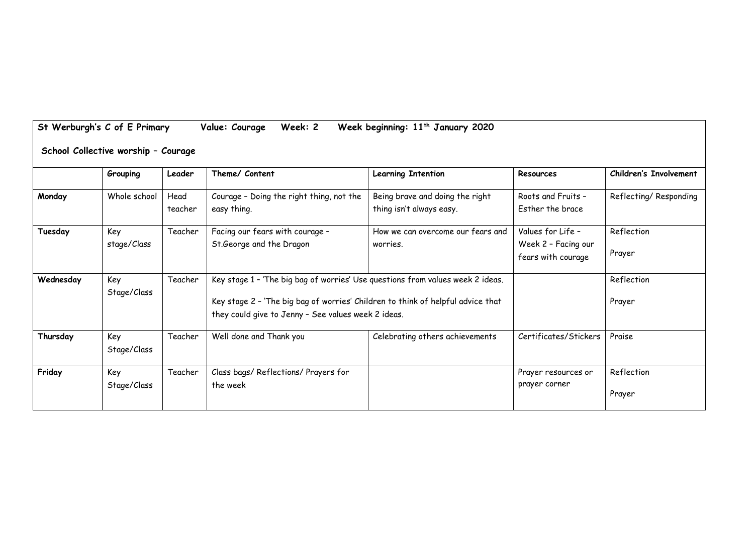|           | Grouping     | Leader  | Theme/ Content                                                                  | <b>Learning Intention</b>         | <b>Resources</b>      | <b>Children's Involvement</b> |
|-----------|--------------|---------|---------------------------------------------------------------------------------|-----------------------------------|-----------------------|-------------------------------|
| Monday    | Whole school | Head    | Courage - Doing the right thing, not the                                        | Being brave and doing the right   | Roots and Fruits -    | Reflecting/Responding         |
|           |              | teacher | easy thing.                                                                     | thing isn't always easy.          | Esther the brace      |                               |
| Tuesday   | Key          | Teacher | Facing our fears with courage -                                                 | How we can overcome our fears and | Values for Life -     | Reflection                    |
|           | stage/Class  |         | St.George and the Dragon                                                        | worries.                          | Week 2 - Facing our   |                               |
|           |              |         |                                                                                 |                                   | fears with courage    | Prayer                        |
| Wednesday | Key          | Teacher | Key stage 1 - 'The big bag of worries' Use questions from values week 2 ideas.  |                                   |                       | Reflection                    |
|           | Stage/Class  |         |                                                                                 |                                   |                       |                               |
|           |              |         | Key stage 2 - 'The big bag of worries' Children to think of helpful advice that |                                   |                       | Prayer                        |
|           |              |         | they could give to Jenny - See values week 2 ideas.                             |                                   |                       |                               |
| Thursday  | Key          | Teacher | Well done and Thank you                                                         | Celebrating others achievements   | Certificates/Stickers | Praise                        |
|           | Stage/Class  |         |                                                                                 |                                   |                       |                               |
| Friday    | Key          | Teacher | Class bags/ Reflections/ Prayers for                                            |                                   | Prayer resources or   | Reflection                    |
|           | Stage/Class  |         | the week                                                                        |                                   | prayer corner         |                               |
|           |              |         |                                                                                 |                                   |                       | Prayer                        |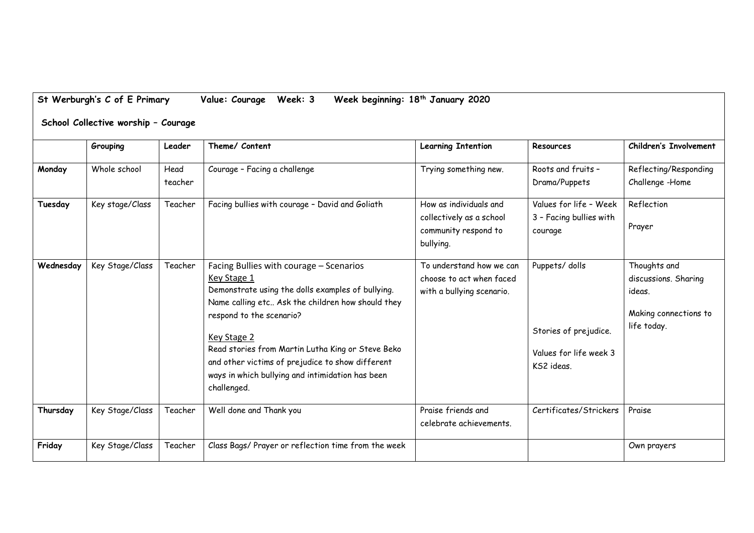|           | Grouping        | Leader          | Theme/ Content                                                                                                                                                                                                                                                                                                                                                                          | <b>Learning Intention</b>                                                               | Resources                                                                      | <b>Children's Involvement</b>                                                          |
|-----------|-----------------|-----------------|-----------------------------------------------------------------------------------------------------------------------------------------------------------------------------------------------------------------------------------------------------------------------------------------------------------------------------------------------------------------------------------------|-----------------------------------------------------------------------------------------|--------------------------------------------------------------------------------|----------------------------------------------------------------------------------------|
| Monday    | Whole school    | Head<br>teacher | Courage - Facing a challenge                                                                                                                                                                                                                                                                                                                                                            | Trying something new.                                                                   | Roots and fruits -<br>Drama/Puppets                                            | Reflecting/Responding<br>Challenge -Home                                               |
| Tuesday   | Key stage/Class | Teacher         | Facing bullies with courage - David and Goliath                                                                                                                                                                                                                                                                                                                                         | How as individuals and<br>collectively as a school<br>community respond to<br>bullying. | Values for life - Week<br>3 - Facing bullies with<br>courage                   | Reflection<br>Prayer                                                                   |
| Wednesday | Key Stage/Class | Teacher         | Facing Bullies with courage - Scenarios<br>Key Stage 1<br>Demonstrate using the dolls examples of bullying.<br>Name calling etc Ask the children how should they<br>respond to the scenario?<br>Key Stage 2<br>Read stories from Martin Lutha King or Steve Beko<br>and other victims of prejudice to show different<br>ways in which bullying and intimidation has been<br>challenged. | To understand how we can<br>choose to act when faced<br>with a bullying scenario.       | Puppets/dolls<br>Stories of prejudice.<br>Values for life week 3<br>KS2 ideas. | Thoughts and<br>discussions. Sharing<br>ideas.<br>Making connections to<br>life today. |
| Thursday  | Key Stage/Class | Teacher         | Well done and Thank you                                                                                                                                                                                                                                                                                                                                                                 | Praise friends and<br>celebrate achievements.                                           | Certificates/Strickers                                                         | Praise                                                                                 |
| Friday    | Key Stage/Class | Teacher         | Class Bags/ Prayer or reflection time from the week                                                                                                                                                                                                                                                                                                                                     |                                                                                         |                                                                                | Own prayers                                                                            |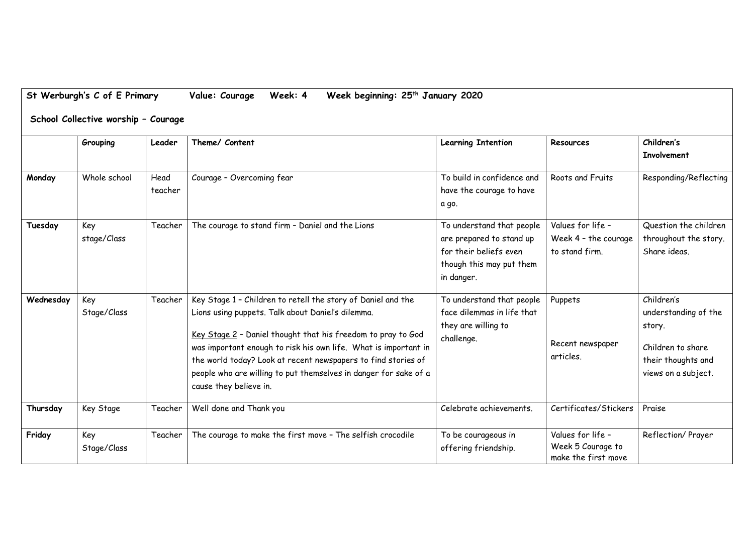| St Werburgh's C of E Primary        |                    |                 | Value: Courage<br>Week: 4<br>Week beginning: 25 <sup>th</sup> January 2020                                                                                                                                                                                                                                                                                                                                          |                                                                                                                           |                                                               |                                                                                                                |  |  |
|-------------------------------------|--------------------|-----------------|---------------------------------------------------------------------------------------------------------------------------------------------------------------------------------------------------------------------------------------------------------------------------------------------------------------------------------------------------------------------------------------------------------------------|---------------------------------------------------------------------------------------------------------------------------|---------------------------------------------------------------|----------------------------------------------------------------------------------------------------------------|--|--|
| School Collective worship - Courage |                    |                 |                                                                                                                                                                                                                                                                                                                                                                                                                     |                                                                                                                           |                                                               |                                                                                                                |  |  |
|                                     | Grouping           | Leader          | Theme/ Content                                                                                                                                                                                                                                                                                                                                                                                                      | <b>Learning Intention</b>                                                                                                 | Resources                                                     | Children's<br><b>Involvement</b>                                                                               |  |  |
| Monday                              | Whole school       | Head<br>teacher | Courage - Overcoming fear                                                                                                                                                                                                                                                                                                                                                                                           | To build in confidence and<br>have the courage to have<br>a go.                                                           | Roots and Fruits                                              | Responding/Reflecting                                                                                          |  |  |
| Tuesday                             | Key<br>stage/Class | Teacher         | The courage to stand firm - Daniel and the Lions                                                                                                                                                                                                                                                                                                                                                                    | To understand that people<br>are prepared to stand up<br>for their beliefs even<br>though this may put them<br>in danger. | Values for life -<br>Week 4 - the courage<br>to stand firm.   | Question the children<br>throughout the story.<br>Share ideas.                                                 |  |  |
| Wednesday                           | Key<br>Stage/Class | Teacher         | Key Stage 1 - Children to retell the story of Daniel and the<br>Lions using puppets. Talk about Daniel's dilemma.<br>Key Stage 2 - Daniel thought that his freedom to pray to God<br>was important enough to risk his own life. What is important in<br>the world today? Look at recent newspapers to find stories of<br>people who are willing to put themselves in danger for sake of a<br>cause they believe in. | To understand that people<br>face dilemmas in life that<br>they are willing to<br>challenge.                              | Puppets<br>Recent newspaper<br>articles.                      | Children's<br>understanding of the<br>story.<br>Children to share<br>their thoughts and<br>views on a subject. |  |  |
| Thursday                            | Key Stage          | Teacher         | Well done and Thank you                                                                                                                                                                                                                                                                                                                                                                                             | Celebrate achievements.                                                                                                   | Certificates/Stickers                                         | Praise                                                                                                         |  |  |
| Friday                              | Key<br>Stage/Class | Teacher         | The courage to make the first move - The selfish crocodile                                                                                                                                                                                                                                                                                                                                                          | To be courageous in<br>offering friendship.                                                                               | Values for life -<br>Week 5 Courage to<br>make the first move | Reflection/ Prayer                                                                                             |  |  |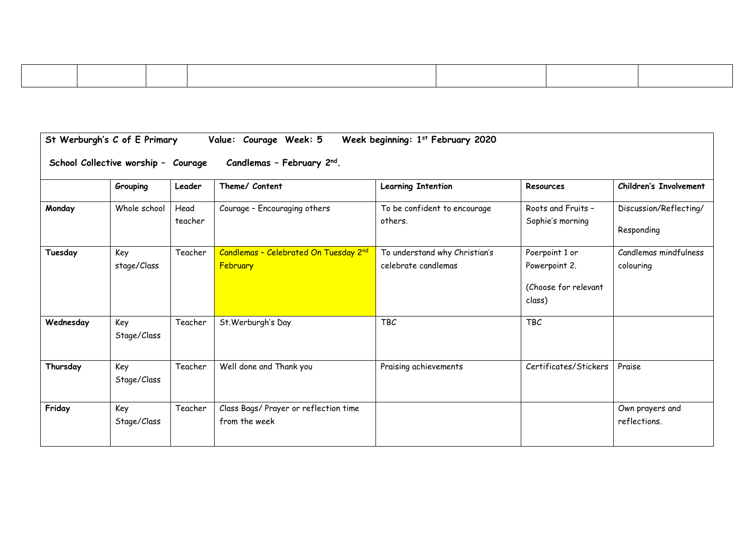| St Werburgh's C of E Primary<br>Week beginning: 1st February 2020<br>Value: Courage Week: 5 |                    |                 |                                                        |                                                      |                                                                   |                                      |  |
|---------------------------------------------------------------------------------------------|--------------------|-----------------|--------------------------------------------------------|------------------------------------------------------|-------------------------------------------------------------------|--------------------------------------|--|
| Candlemas - February 2nd.<br>School Collective worship - Courage                            |                    |                 |                                                        |                                                      |                                                                   |                                      |  |
|                                                                                             | Grouping           | Leader          | Theme/ Content                                         | <b>Learning Intention</b>                            | Resources                                                         | <b>Children's Involvement</b>        |  |
| Monday                                                                                      | Whole school       | Head<br>teacher | Courage - Encouraging others                           | To be confident to encourage<br>others.              | Roots and Fruits -<br>Sophie's morning                            | Discussion/Reflecting/<br>Responding |  |
| Tuesday                                                                                     | Key<br>stage/Class | Teacher         | Candlemas - Celebrated On Tuesday 2nd<br>February      | To understand why Christian's<br>celebrate candlemas | Poerpoint 1 or<br>Powerpoint 2.<br>(Choose for relevant<br>class) | Candlemas mindfulness<br>colouring   |  |
| Wednesday                                                                                   | Key<br>Stage/Class | Teacher         | St. Werburgh's Day                                     | <b>TBC</b>                                           | <b>TBC</b>                                                        |                                      |  |
| Thursday                                                                                    | Key<br>Stage/Class | Teacher         | Well done and Thank you                                | Praising achievements                                | Certificates/Stickers                                             | Praise                               |  |
| Friday                                                                                      | Key<br>Stage/Class | Teacher         | Class Bags/ Prayer or reflection time<br>from the week |                                                      |                                                                   | Own prayers and<br>reflections.      |  |